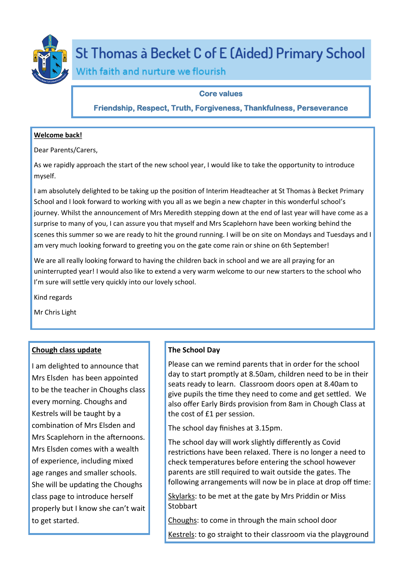

# St Thomas à Becket C of E (Aided) Primary School

With faith and nurture we flourish

## **Core values**

**Friendship, Respect, Truth, Forgiveness, Thankfulness, Perseverance** 

## **Welcome back!**

Dear Parents/Carers,

As we rapidly approach the start of the new school year, I would like to take the opportunity to introduce myself.

I am absolutely delighted to be taking up the position of Interim Headteacher at St Thomas à Becket Primary School and I look forward to working with you all as we begin a new chapter in this wonderful school's journey. Whilst the announcement of Mrs Meredith stepping down at the end of last year will have come as a surprise to many of you, I can assure you that myself and Mrs Scaplehorn have been working behind the scenes this summer so we are ready to hit the ground running. I will be on site on Mondays and Tuesdays and I am very much looking forward to greeting you on the gate come rain or shine on 6th September!

We are all really looking forward to having the children back in school and we are all praying for an uninterrupted year! I would also like to extend a very warm welcome to our new starters to the school who I'm sure will settle very quickly into our lovely school.

Kind regards

Mr Chris Light

# **Chough class update**

I am delighted to announce that Mrs Elsden has been appointed to be the teacher in Choughs class every morning. Choughs and Kestrels will be taught by a combination of Mrs Elsden and Mrs Scaplehorn in the afternoons. Mrs Elsden comes with a wealth of experience, including mixed age ranges and smaller schools. She will be updating the Choughs class page to introduce herself properly but I know she can't wait to get started.

# **The School Day**

Please can we remind parents that in order for the school day to start promptly at 8.50am, children need to be in their seats ready to learn. Classroom doors open at 8.40am to give pupils the time they need to come and get settled. We also offer Early Birds provision from 8am in Chough Class at the cost of £1 per session.

The school day finishes at 3.15pm.

The school day will work slightly differently as Covid restrictions have been relaxed. There is no longer a need to check temperatures before entering the school however parents are still required to wait outside the gates. The following arrangements will now be in place at drop off time:

Skylarks: to be met at the gate by Mrs Priddin or Miss **Stobbart** 

Choughs: to come in through the main school door

Kestrels: to go straight to their classroom via the playground